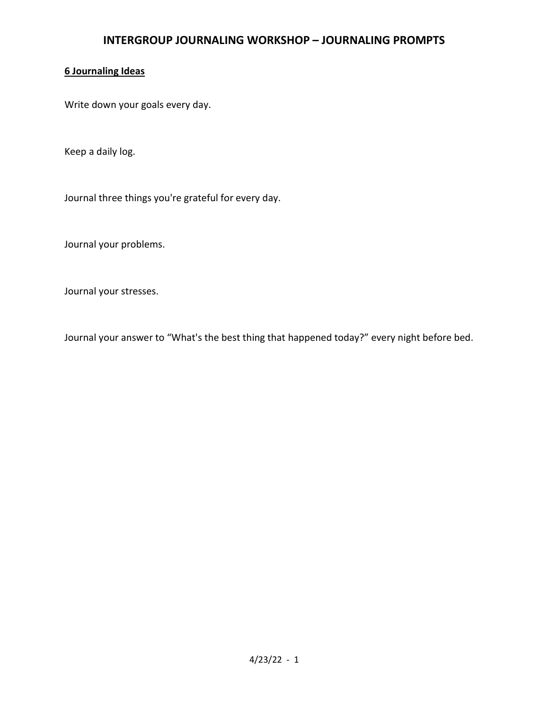# 6 Journaling Ideas

Write down your goals every day.

Keep a daily log.

Journal three things you're grateful for every day.

Journal your problems.

Journal your stresses.

Journal your answer to "What's the best thing that happened today?" every night before bed.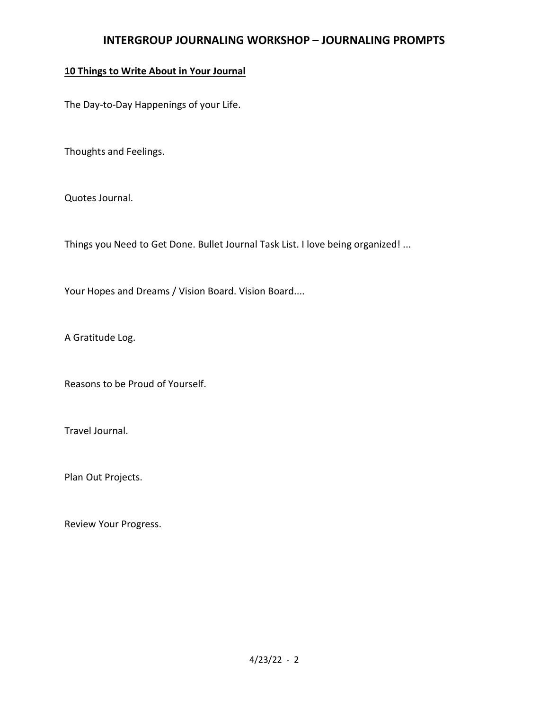# 10 Things to Write About in Your Journal

The Day-to-Day Happenings of your Life.

Thoughts and Feelings.

Quotes Journal.

Things you Need to Get Done. Bullet Journal Task List. I love being organized! ...

Your Hopes and Dreams / Vision Board. Vision Board....

A Gratitude Log.

Reasons to be Proud of Yourself.

Travel Journal.

Plan Out Projects.

Review Your Progress.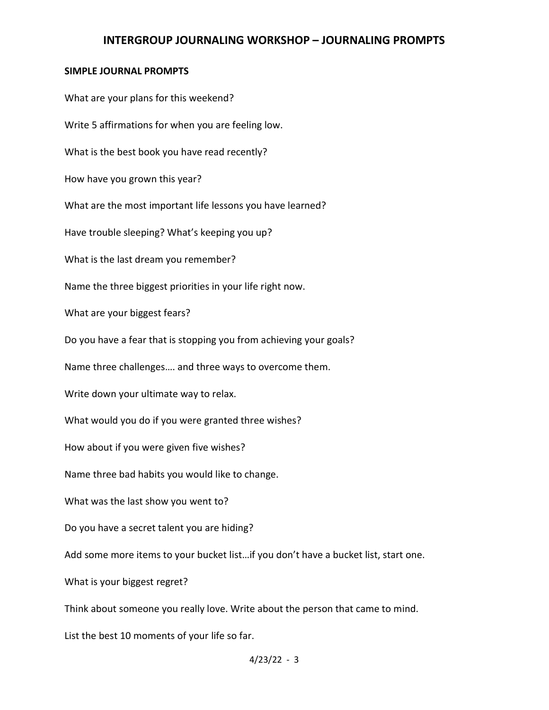#### SIMPLE JOURNAL PROMPTS

What are your plans for this weekend? Write 5 affirmations for when you are feeling low. What is the best book you have read recently? How have you grown this year? What are the most important life lessons you have learned? Have trouble sleeping? What's keeping you up? What is the last dream you remember? Name the three biggest priorities in your life right now. What are your biggest fears? Do you have a fear that is stopping you from achieving your goals? Name three challenges…. and three ways to overcome them. Write down your ultimate way to relax. What would you do if you were granted three wishes? How about if you were given five wishes? Name three bad habits you would like to change. What was the last show you went to? Do you have a secret talent you are hiding? Add some more items to your bucket list…if you don't have a bucket list, start one. What is your biggest regret? Think about someone you really love. Write about the person that came to mind. List the best 10 moments of your life so far.

 $4/23/22 - 3$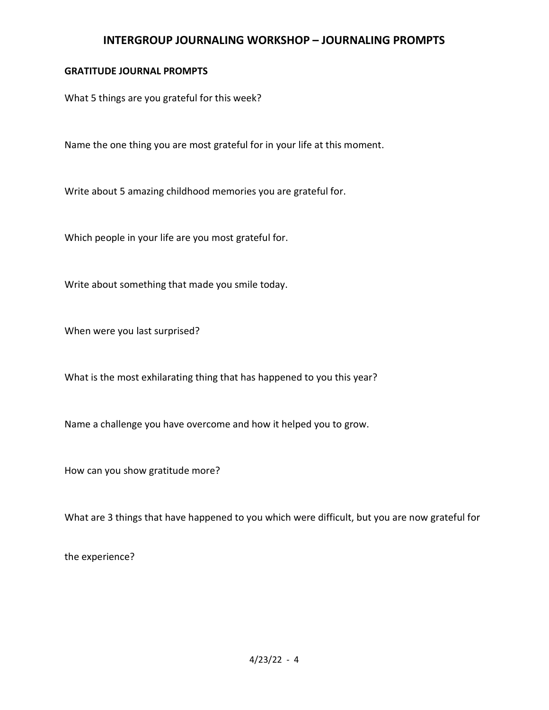#### GRATITUDE JOURNAL PROMPTS

What 5 things are you grateful for this week?

Name the one thing you are most grateful for in your life at this moment.

Write about 5 amazing childhood memories you are grateful for.

Which people in your life are you most grateful for.

Write about something that made you smile today.

When were you last surprised?

What is the most exhilarating thing that has happened to you this year?

Name a challenge you have overcome and how it helped you to grow.

How can you show gratitude more?

What are 3 things that have happened to you which were difficult, but you are now grateful for

the experience?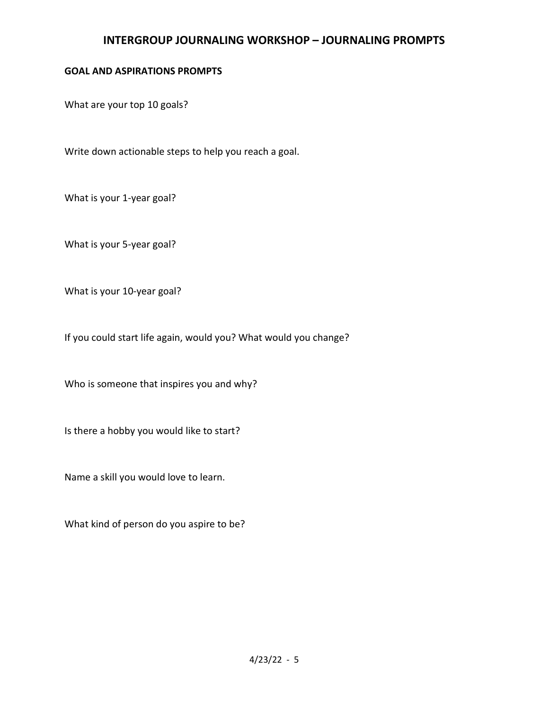#### GOAL AND ASPIRATIONS PROMPTS

What are your top 10 goals?

Write down actionable steps to help you reach a goal.

What is your 1-year goal?

What is your 5-year goal?

What is your 10-year goal?

If you could start life again, would you? What would you change?

Who is someone that inspires you and why?

Is there a hobby you would like to start?

Name a skill you would love to learn.

What kind of person do you aspire to be?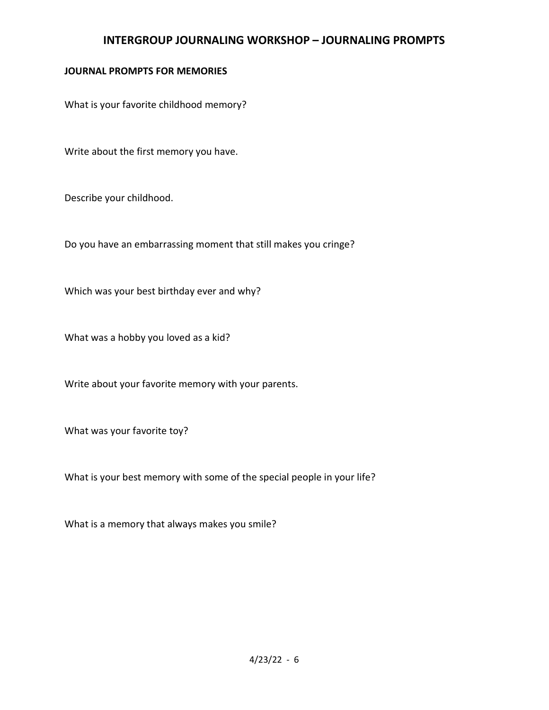# JOURNAL PROMPTS FOR MEMORIES

What is your favorite childhood memory?

Write about the first memory you have.

Describe your childhood.

Do you have an embarrassing moment that still makes you cringe?

Which was your best birthday ever and why?

What was a hobby you loved as a kid?

Write about your favorite memory with your parents.

What was your favorite toy?

What is your best memory with some of the special people in your life?

What is a memory that always makes you smile?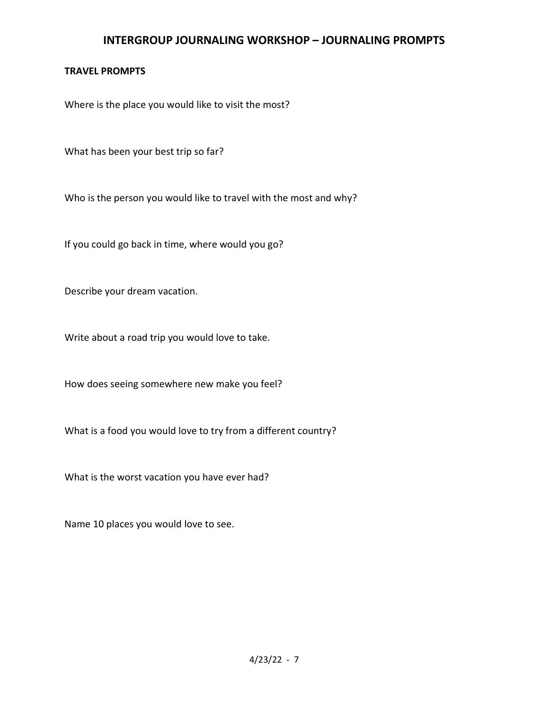#### TRAVEL PROMPTS

Where is the place you would like to visit the most?

What has been your best trip so far?

Who is the person you would like to travel with the most and why?

If you could go back in time, where would you go?

Describe your dream vacation.

Write about a road trip you would love to take.

How does seeing somewhere new make you feel?

What is a food you would love to try from a different country?

What is the worst vacation you have ever had?

Name 10 places you would love to see.